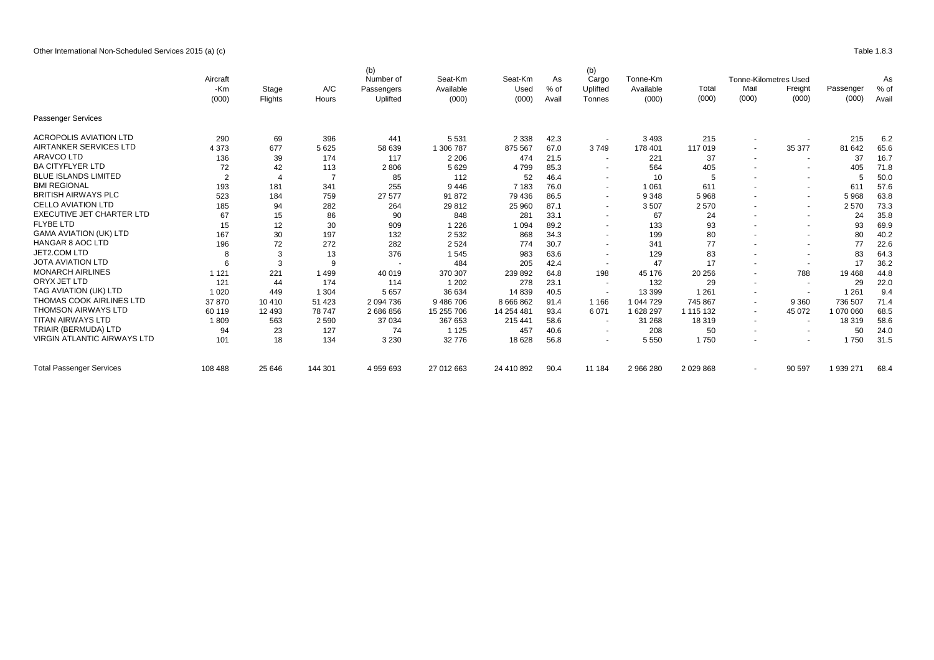Other International Non-Scheduled Services 2015 (a) (c) Table 1.8.3

|                                    | Aircraft<br>-Km<br>(000) | Stage<br>Flights | A/C<br>Hours   | (b)<br>Number of<br>Passengers<br>Uplifted | Seat-Km<br>Available<br>(000) | Seat-Km<br>Used<br>(000) | As<br>% of<br>Avail | (b)<br>Cargo<br>Uplifted<br>Tonnes | Tonne-Km<br>Available<br>(000) | I otal<br>(000) | Mail<br>(000)            | Tonne-Kilometres Used<br><b>Freight</b><br>(000) | Passenger<br>(000) | As<br>% of<br>Avail |
|------------------------------------|--------------------------|------------------|----------------|--------------------------------------------|-------------------------------|--------------------------|---------------------|------------------------------------|--------------------------------|-----------------|--------------------------|--------------------------------------------------|--------------------|---------------------|
| Passenger Services                 |                          |                  |                |                                            |                               |                          |                     |                                    |                                |                 |                          |                                                  |                    |                     |
| <b>ACROPOLIS AVIATION LTD</b>      | 290                      | 69               | 396            | 441                                        | 5 5 3 1                       | 2 3 3 8                  | 42.3                |                                    | 3493                           | 215             |                          |                                                  | 215                | 6.2                 |
| AIRTANKER SERVICES LTD             | 4 3 7 3                  | 677              | 5 6 2 5        | 58 639                                     | 1 306 787                     | 875 567                  | 67.0                | 3749                               | 178 401                        | 117 019         | $\sim$                   | 35 377                                           | 81 642             | 65.6                |
| <b>ARAVCO LTD</b>                  | 136                      | 39               | 174            | 117                                        | 2 2 0 6                       | 474                      | 21.5                | $\overline{\phantom{a}}$           | 221                            | 37              | $\sim$                   | $\sim$                                           | 37                 | 16.7                |
| <b>BA CITYFLYER LTD</b>            | 72                       | 42               | 113            | 2806                                       | 5629                          | 4799                     | 85.3                |                                    | 564                            | 405             |                          | $\overline{\phantom{a}}$                         | 405                | 71.8                |
| <b>BLUE ISLANDS LIMITED</b>        | $\overline{2}$           |                  | $\overline{7}$ | 85                                         | 112                           | 52                       | 46.4                | $\overline{\phantom{a}}$           | 10                             | 5               |                          | $\sim$                                           | 5                  | 50.0                |
| <b>BMI REGIONAL</b>                | 193                      | 181              | 341            | 255                                        | 9446                          | 7 183                    | 76.0                | $\overline{a}$                     | 1 0 6 1                        | 611             |                          | $\sim$                                           | 611                | 57.6                |
| <b>BRITISH AIRWAYS PLC</b>         | 523                      | 184              | 759            | 27 577                                     | 91 872                        | 79 436                   | 86.5                | $\overline{\phantom{a}}$           | 9 3 4 8                        | 5968            | $\sim$                   | $\sim$                                           | 5 9 6 8            | 63.8                |
| <b>CELLO AVIATION LTD</b>          | 185                      | 94               | 282            | 264                                        | 29 812                        | 25 960                   | 87.1                | $\overline{\phantom{a}}$           | 3507                           | 2 5 7 0         | $\overline{a}$           | $\sim$                                           | 2570               | 73.3                |
| <b>EXECUTIVE JET CHARTER LTD</b>   | 67                       | 15               | 86             | 90                                         | 848                           | 281                      | 33.1                | $\sim$                             | 67                             | 24              |                          | $\sim$                                           | 24                 | 35.8                |
| <b>FLYBE LTD</b>                   | 15                       | 12               | 30             | 909                                        | 1 2 2 6                       | 1 0 9 4                  | 89.2                |                                    | 133                            | 93              |                          | $\sim$                                           | 93                 | 69.9                |
| <b>GAMA AVIATION (UK) LTD</b>      | 167                      | 30               | 197            | 132                                        | 2532                          | 868                      | 34.3                |                                    | 199                            | 80              |                          | $\sim$                                           | 80                 | 40.2                |
| <b>HANGAR 8 AOC LTD</b>            | 196                      | 72               | 272            | 282                                        | 2 5 2 4                       | 774                      | 30.7                |                                    | 341                            | 77              | $\sim$                   | $\sim$                                           | 77                 | 22.6                |
| JET2.COM LTD                       |                          | 3                | 13             | 376                                        | 1545                          | 983                      | 63.6                |                                    | 129                            | 83              |                          | $\overline{\phantom{a}}$                         | 83                 | 64.3                |
| <b>JOTA AVIATION LTD</b>           |                          | 3                | 9              |                                            | 484                           | 205                      | 42.4                |                                    | 47                             | 17              |                          | $\sim$                                           | 17                 | 36.2                |
| <b>MONARCH AIRLINES</b>            | 1 1 2 1                  | 221              | 1499           | 40 019                                     | 370 307                       | 239 892                  | 64.8                | 198                                | 45 176                         | 20 25 6         | $\overline{\phantom{a}}$ | 788                                              | 19 4 68            | 44.8                |
| ORYX JET LTD                       | 121                      | 44               | 174            | 114                                        | 1 2 0 2                       | 278                      | 23.1                | $\overline{\phantom{a}}$           | 132                            | 29              | $\sim$                   | $\sim$                                           | 29                 | 22.0                |
| TAG AVIATION (UK) LTD              | 1 0 2 0                  | 449              | 1 3 0 4        | 5 6 5 7                                    | 36 634                        | 14 8 39                  | 40.5                | $\overline{\phantom{a}}$           | 13 3 9 9                       | 1 2 6 1         | $\sim$                   | $\overline{\phantom{a}}$                         | 1 2 6 1            | 9.4                 |
| THOMAS COOK AIRLINES LTD           | 37870                    | 10 410           | 51 423         | 2 0 9 4 7 3 6                              | 9486706                       | 8 6 6 8 8 6 2            | 91.4                | 1 1 6 6                            | 1 044 729                      | 745 867         | $\sim$                   | 9 3 6 0                                          | 736 507            | 71.4                |
| <b>THOMSON AIRWAYS LTD</b>         | 60 119                   | 12 4 9 3         | 78 747         | 2686856                                    | 15 255 706                    | 14 254 481               | 93.4                | 6071                               | 1628297                        | 1 115 132       | $\sim$                   | 45 072                                           | 1 070 060          | 68.5                |
| <b>TITAN AIRWAYS LTD</b>           | 1809                     | 563              | 2 5 9 0        | 37 034                                     | 367 653                       | 215 441                  | 58.6                | $\overline{\phantom{a}}$           | 31 268                         | 18 319          | $\sim$                   | $\sim$                                           | 18 319             | 58.6                |
| TRIAIR (BERMUDA) LTD               | 94                       | 23               | 127            | 74                                         | 1 1 2 5                       | 457                      | 40.6                |                                    | 208                            | 50              | $\overline{\phantom{a}}$ | $\blacksquare$                                   | 50                 | 24.0                |
| <b>VIRGIN ATLANTIC AIRWAYS LTD</b> | 101                      | 18               | 134            | 3 2 3 0                                    | 32776                         | 18 628                   | 56.8                | $\overline{\phantom{a}}$           | 5 5 5 0                        | 1750            |                          | $\overline{\phantom{a}}$                         | 1750               | 31.5                |
| <b>Total Passenger Services</b>    | 108 488                  | 25 646           | 144 301        | 4 959 693                                  | 27 012 663                    | 24 410 892               | 90.4                | 11 184                             | 2 966 280                      | 2 0 29 8 68     |                          | 90 597                                           | 1 939 271          | 68.4                |